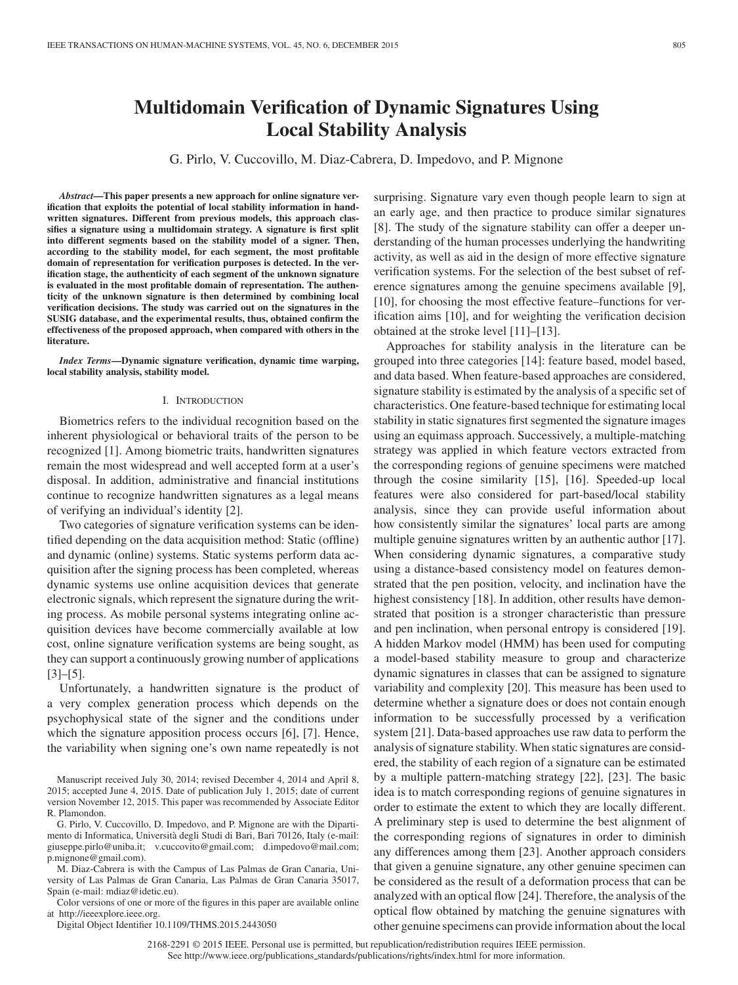# **Multidomain Verification of Dynamic Signatures Using Local Stability Analysis**

G. Pirlo, V. Cuccovillo, M. Diaz-Cabrera, D. Impedovo, and P. Mignone

*Abstract***—This paper presents a new approach for online signature verification that exploits the potential of local stability information in handwritten signatures. Different from previous models, this approach classifies a signature using a multidomain strategy. A signature is first split into different segments based on the stability model of a signer. Then, according to the stability model, for each segment, the most profitable domain of representation for verification purposes is detected. In the verification stage, the authenticity of each segment of the unknown signature is evaluated in the most profitable domain of representation. The authenticity of the unknown signature is then determined by combining local verification decisions. The study was carried out on the signatures in the SUSIG database, and the experimental results, thus, obtained confirm the effectiveness of the proposed approach, when compared with others in the literature.**

*Index Terms***—Dynamic signature verification, dynamic time warping, local stability analysis, stability model.**

#### I. INTRODUCTION

Biometrics refers to the individual recognition based on the inherent physiological or behavioral traits of the person to be recognized [1]. Among biometric traits, handwritten signatures remain the most widespread and well accepted form at a user's disposal. In addition, administrative and financial institutions continue to recognize handwritten signatures as a legal means of verifying an individual's identity [2].

Two categories of signature verification systems can be identified depending on the data acquisition method: Static (offline) and dynamic (online) systems. Static systems perform data acquisition after the signing process has been completed, whereas dynamic systems use online acquisition devices that generate electronic signals, which represent the signature during the writing process. As mobile personal systems integrating online acquisition devices have become commercially available at low cost, online signature verification systems are being sought, as they can support a continuously growing number of applications [3]–[5].

Unfortunately, a handwritten signature is the product of a very complex generation process which depends on the psychophysical state of the signer and the conditions under which the signature apposition process occurs [6], [7]. Hence, the variability when signing one's own name repeatedly is not

Manuscript received July 30, 2014; revised December 4, 2014 and April 8, 2015; accepted June 4, 2015. Date of publication July 1, 2015; date of current version November 12, 2015. This paper was recommended by Associate Editor R. Plamondon.

G. Pirlo, V. Cuccovillo, D. Impedovo, and P. Mignone are with the Dipartimento di Informatica, Universita degli Studi di Bari, Bari 70126, Italy (e-mail: ` giuseppe.pirlo@uniba.it; v.cuccovito@gmail.com; d.impedovo@mail.com; p.mignone@gmail.com).

M. Diaz-Cabrera is with the Campus of Las Palmas de Gran Canaria, University of Las Palmas de Gran Canaria, Las Palmas de Gran Canaria 35017, Spain (e-mail: mdiaz@idetic.eu).

Color versions of one or more of the figures in this paper are available online at http://ieeexplore.ieee.org.

Digital Object Identifier 10.1109/THMS.2015.2443050

surprising. Signature vary even though people learn to sign at an early age, and then practice to produce similar signatures [8]. The study of the signature stability can offer a deeper understanding of the human processes underlying the handwriting activity, as well as aid in the design of more effective signature verification systems. For the selection of the best subset of reference signatures among the genuine specimens available [9], [10], for choosing the most effective feature–functions for verification aims [10], and for weighting the verification decision obtained at the stroke level [11]–[13].

Approaches for stability analysis in the literature can be grouped into three categories [14]: feature based, model based, and data based. When feature-based approaches are considered, signature stability is estimated by the analysis of a specific set of characteristics. One feature-based technique for estimating local stability in static signatures first segmented the signature images using an equimass approach. Successively, a multiple-matching strategy was applied in which feature vectors extracted from the corresponding regions of genuine specimens were matched through the cosine similarity [15], [16]. Speeded-up local features were also considered for part-based/local stability analysis, since they can provide useful information about how consistently similar the signatures' local parts are among multiple genuine signatures written by an authentic author [17]. When considering dynamic signatures, a comparative study using a distance-based consistency model on features demonstrated that the pen position, velocity, and inclination have the highest consistency [18]. In addition, other results have demonstrated that position is a stronger characteristic than pressure and pen inclination, when personal entropy is considered [19]. A hidden Markov model (HMM) has been used for computing a model-based stability measure to group and characterize dynamic signatures in classes that can be assigned to signature variability and complexity [20]. This measure has been used to determine whether a signature does or does not contain enough information to be successfully processed by a verification system [21]. Data-based approaches use raw data to perform the analysis of signature stability. When static signatures are considered, the stability of each region of a signature can be estimated by a multiple pattern-matching strategy [22], [23]. The basic idea is to match corresponding regions of genuine signatures in order to estimate the extent to which they are locally different. A preliminary step is used to determine the best alignment of the corresponding regions of signatures in order to diminish any differences among them [23]. Another approach considers that given a genuine signature, any other genuine specimen can be considered as the result of a deformation process that can be analyzed with an optical flow [24]. Therefore, the analysis of the optical flow obtained by matching the genuine signatures with other genuine specimens can provide information about the local

2168-2291 © 2015 IEEE. Personal use is permitted, but republication/redistribution requires IEEE permission. See http://www.ieee.org/publications\_standards/publications/rights/index.html for more information.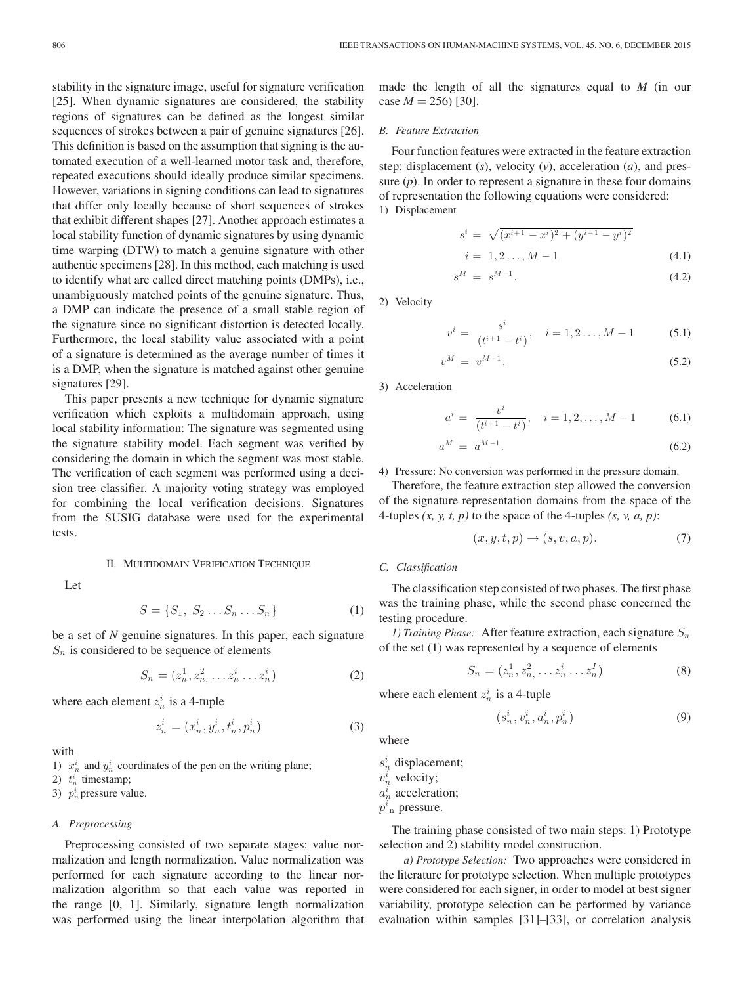stability in the signature image, useful for signature verification [25]. When dynamic signatures are considered, the stability regions of signatures can be defined as the longest similar sequences of strokes between a pair of genuine signatures [26]. This definition is based on the assumption that signing is the automated execution of a well-learned motor task and, therefore, repeated executions should ideally produce similar specimens. However, variations in signing conditions can lead to signatures that differ only locally because of short sequences of strokes that exhibit different shapes [27]. Another approach estimates a local stability function of dynamic signatures by using dynamic time warping (DTW) to match a genuine signature with other authentic specimens [28]. In this method, each matching is used to identify what are called direct matching points (DMPs), i.e., unambiguously matched points of the genuine signature. Thus, a DMP can indicate the presence of a small stable region of the signature since no significant distortion is detected locally. Furthermore, the local stability value associated with a point of a signature is determined as the average number of times it is a DMP, when the signature is matched against other genuine signatures [29].

This paper presents a new technique for dynamic signature verification which exploits a multidomain approach, using local stability information: The signature was segmented using the signature stability model. Each segment was verified by considering the domain in which the segment was most stable. The verification of each segment was performed using a decision tree classifier. A majority voting strategy was employed for combining the local verification decisions. Signatures from the SUSIG database were used for the experimental tests.

#### II. MULTIDOMAIN VERIFICATION TECHNIQUE

Let

$$
S = \{S_1, S_2 \dots S_n \dots S_n\}
$$
 (1)

be a set of *N* genuine signatures. In this paper, each signature  $S_n$  is considered to be sequence of elements

$$
S_n = (z_n^1, z_n^2, \dots z_n^i \dots z_n^i)
$$
 (2)

where each element  $z_n^i$  is a 4-tuple

$$
z_n^i = (x_n^i, y_n^i, t_n^i, p_n^i)
$$
 (3)

with

1)  $x_n^i$  and  $y_n^i$  coordinates of the pen on the writing plane;

2)  $t_n^i$  timestamp;

3)  $p_n^i$  pressure value.

# *A. Preprocessing*

Preprocessing consisted of two separate stages: value normalization and length normalization. Value normalization was performed for each signature according to the linear normalization algorithm so that each value was reported in the range [0, 1]. Similarly, signature length normalization was performed using the linear interpolation algorithm that

made the length of all the signatures equal to *M* (in our case  $M = 256$  [30].

## *B. Feature Extraction*

Four function features were extracted in the feature extraction step: displacement (*s*), velocity (*v*), acceleration (*a*), and pressure  $(p)$ . In order to represent a signature in these four domains of representation the following equations were considered: 1) Displacement

$$
s^{i} = \sqrt{(x^{i+1} - x^{i})^{2} + (y^{i+1} - y^{i})^{2}}
$$
  
\n
$$
i = 1, 2, ..., M - 1
$$
 (4.1)

$$
s^M = s^{M-1}.
$$
\n(4.2)

2) Velocity

$$
v^{i} = \frac{s^{i}}{(t^{i+1} - t^{i})}, \quad i = 1, 2 \dots, M - 1 \quad (5.1)
$$

$$
v^M = v^{M-1}.
$$
\n(5.2)

3) Acceleration

$$
a^{i} = \frac{v^{i}}{(t^{i+1} - t^{i})}, \quad i = 1, 2, ..., M - 1
$$
 (6.1)

$$
a^M = a^{M-1}.
$$
\n(6.2)

4) Pressure: No conversion was performed in the pressure domain.

Therefore, the feature extraction step allowed the conversion of the signature representation domains from the space of the 4-tuples *(x, y, t, p)* to the space of the 4-tuples *(s, v, a, p)*:

$$
(x, y, t, p) \rightarrow (s, v, a, p). \tag{7}
$$

#### *C. Classification*

The classification step consisted of two phases. The first phase was the training phase, while the second phase concerned the testing procedure.

*1) Training Phase:* After feature extraction, each signature  $S_n$ of the set (1) was represented by a sequence of elements

$$
S_n = (z_n^1, z_n^2, \dots z_n^i \dots z_n^I) \tag{8}
$$

where each element  $z_n^i$  is a 4-tuple

$$
(s_n^i, v_n^i, a_n^i, p_n^i) \tag{9}
$$

where

 $s_n^i$  displacement;  $v_n^i$  velocity;  $a_n^i$  acceleration;

 $p_{\text{n}}^i$  pressure.

The training phase consisted of two main steps: 1) Prototype selection and 2) stability model construction.

*a) Prototype Selection:* Two approaches were considered in the literature for prototype selection. When multiple prototypes were considered for each signer, in order to model at best signer variability, prototype selection can be performed by variance evaluation within samples [31]–[33], or correlation analysis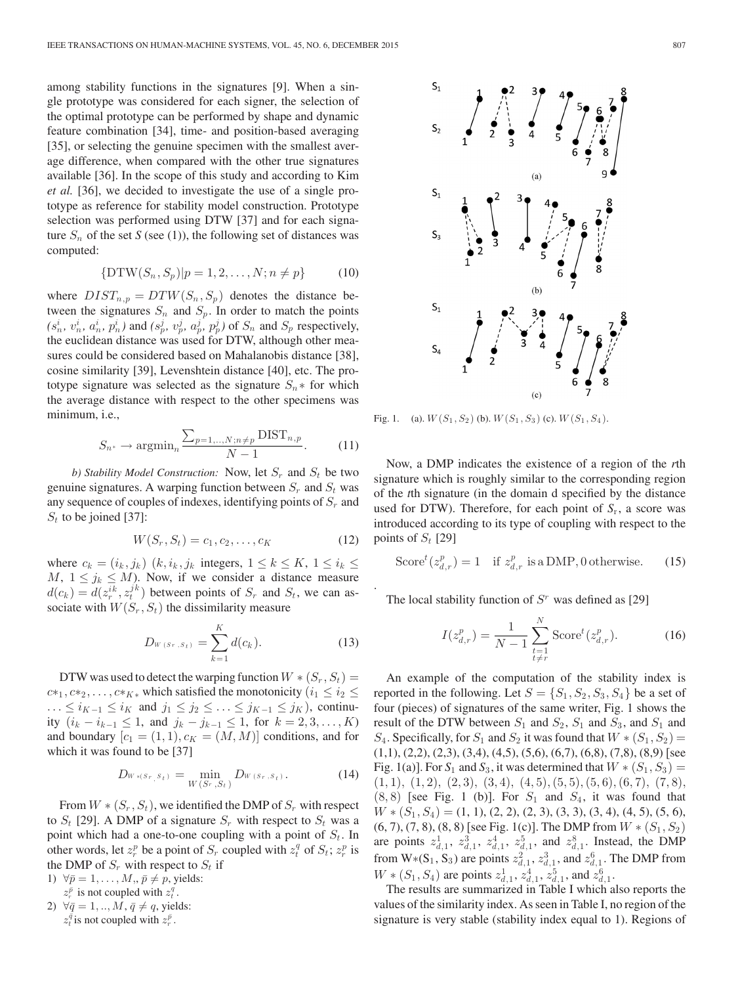among stability functions in the signatures [9]. When a single prototype was considered for each signer, the selection of the optimal prototype can be performed by shape and dynamic feature combination [34], time- and position-based averaging [35], or selecting the genuine specimen with the smallest average difference, when compared with the other true signatures available [36]. In the scope of this study and according to Kim *et al.* [36], we decided to investigate the use of a single prototype as reference for stability model construction. Prototype selection was performed using DTW [37] and for each signature  $S_n$  of the set *S* (see (1)), the following set of distances was computed:

$$
\{DTW(S_n, S_p)|p = 1, 2, \dots, N; n \neq p\}
$$
 (10)

where  $DIST_{n,p} = DTW(S_n, S_p)$  denotes the distance between the signatures  $S_n$  and  $S_p$ . In order to match the points  $(s_n^i, v_n^i, a_n^i, p_n^i)$  and  $(s_p^j, v_p^j, a_p^j, p_p^j)$  of  $S_n$  and  $S_p$  respectively, the euclidean distance was used for DTW, although other measures could be considered based on Mahalanobis distance [38], cosine similarity [39], Levenshtein distance [40], etc. The prototype signature was selected as the signature  $S_n$  \* for which the average distance with respect to the other specimens was minimum, i.e.,

$$
S_{n^*} \to \operatorname{argmin}_n \frac{\sum_{p=1,\dots,N;n\neq p} \text{DIST}_{n,p}}{N-1}.
$$
 (11)

*b) Stability Model Construction:* Now, let  $S_r$  and  $S_t$  be two genuine signatures. A warping function between  $S_r$  and  $S_t$  was any sequence of couples of indexes, identifying points of  $S_r$  and  $S_t$  to be joined [37]:

$$
W(S_r, S_t) = c_1, c_2, \dots, c_K
$$
 (12)

where  $c_k = (i_k, j_k)$   $(k, i_k, j_k)$  integers,  $1 \leq k \leq K$ ,  $1 \leq i_k \leq$ M,  $1 \le j_k \le M$ ). Now, if we consider a distance measure  $d(c_k) = d(z_r^{ik}, z_t^{jk})$  between points of  $S_r$  and  $S_t$ , we can associate with  $W(S_r, S_t)$  the dissimilarity measure

$$
D_{W(S_r, S_t)} = \sum_{k=1}^{K} d(c_k).
$$
 (13)

.

DTW was used to detect the warping function  $W * (S_r, S_t) =$  $c*_1, c*_2, \ldots, c*_K$  which satisfied the monotonicity  $(i_1 \leq i_2 \leq$  $\ldots \leq i_{K-1} \leq i_K$  and  $j_1 \leq j_2 \leq \ldots \leq j_{K-1} \leq j_K$ ), continuity  $(i_k - i_{k-1} \leq 1$ , and  $j_k - j_{k-1} \leq 1$ , for  $k = 2, 3, ..., K$ ) and boundary  $[c_1 = (1, 1), c_K = (M, M)]$  conditions, and for which it was found to be [37]

$$
D_{W*(S_r, S_t)} = \min_{W(S_r, S_t)} D_{W(S_r, S_t)}.
$$
 (14)

From  $W * (S_r, S_t)$ , we identified the DMP of  $S_r$  with respect to  $S_t$  [29]. A DMP of a signature  $S_r$  with respect to  $S_t$  was a point which had a one-to-one coupling with a point of  $S_t$ . In other words, let  $z_r^p$  be a point of  $S_r$  coupled with  $z_t^q$  of  $S_t$ ;  $z_r^p$  is the DMP of  $S_r$  with respect to  $S_t$  if

1)  $\forall \bar{p}=1,\ldots,M, \bar{p}\neq p$ , yields:

 $z_r^{\bar{p}}$  is not coupled with  $z_t^{\bar{q}}$ . 2)  $\forall \bar{q} = 1, ..., M, \bar{q} \neq q$ , yields:

 $z_t^{\bar{q}}$  is not coupled with  $z_r^{\bar{p}}$ .



Fig. 1. (a).  $W(S_1, S_2)$  (b).  $W(S_1, S_3)$  (c).  $W(S_1, S_4)$ .

Now, a DMP indicates the existence of a region of the *r*th signature which is roughly similar to the corresponding region of the *t*th signature (in the domain d specified by the distance used for DTW). Therefore, for each point of  $S_r$ , a score was introduced according to its type of coupling with respect to the points of  $S_t$  [29]

Score<sup>t</sup>(
$$
z_{d,r}^p
$$
) = 1 if  $z_{d,r}^p$  is a DMP, 0 otherwise. (15)

The local stability function of  $S<sup>r</sup>$  was defined as [29]

$$
I(z_{d,r}^p) = \frac{1}{N-1} \sum_{\substack{t=1 \ t \neq r}}^N \text{Score}^t(z_{d,r}^p). \tag{16}
$$

An example of the computation of the stability index is reported in the following. Let  $S = \{S_1, S_2, S_3, S_4\}$  be a set of four (pieces) of signatures of the same writer, Fig. 1 shows the result of the DTW between  $S_1$  and  $S_2$ ,  $S_1$  and  $S_3$ , and  $S_1$  and S<sub>4</sub>. Specifically, for S<sub>1</sub> and S<sub>2</sub> it was found that  $W * (S_1, S_2) =$  $(1,1), (2,2), (2,3), (3,4), (4,5), (5,6), (6,7), (6,8), (7,8), (8,9)$  [see Fig. 1(a)]. For  $S_1$  and  $S_3$ , it was determined that  $W * (S_1, S_3) =$  $(1, 1), (1, 2), (2, 3), (3, 4), (4, 5), (5, 5), (5, 6), (6, 7), (7, 8),$  $(8, 8)$  [see Fig. 1 (b)]. For  $S_1$  and  $S_4$ , it was found that  $W*(S_1, S_4) = (1, 1), (2, 2), (2, 3), (3, 3), (3, 4), (4, 5), (5, 6),$  $(6, 7)$ ,  $(7, 8)$ ,  $(8, 8)$  [see Fig. 1(c)]. The DMP from  $W * (S_1, S_2)$ are points  $z_{d,1}^1$ ,  $z_{d,1}^3$ ,  $z_{d,1}^4$ ,  $z_{d,1}^5$ , and  $z_{d,1}^8$ . Instead, the DMP from W∗(S<sub>1</sub>, S<sub>3</sub>) are points  $z_{d,1}^2$ ,  $z_{d,1}^3$ , and  $z_{d,1}^6$ . The DMP from  $W*(S_1, S_4)$  are points  $z_{d,1}^1, z_{d,1}^4, z_{d,1}^5$ , and  $z_{d,1}^6$ .

The results are summarized in Table I which also reports the values of the similarity index. As seen in Table I, no region of the signature is very stable (stability index equal to 1). Regions of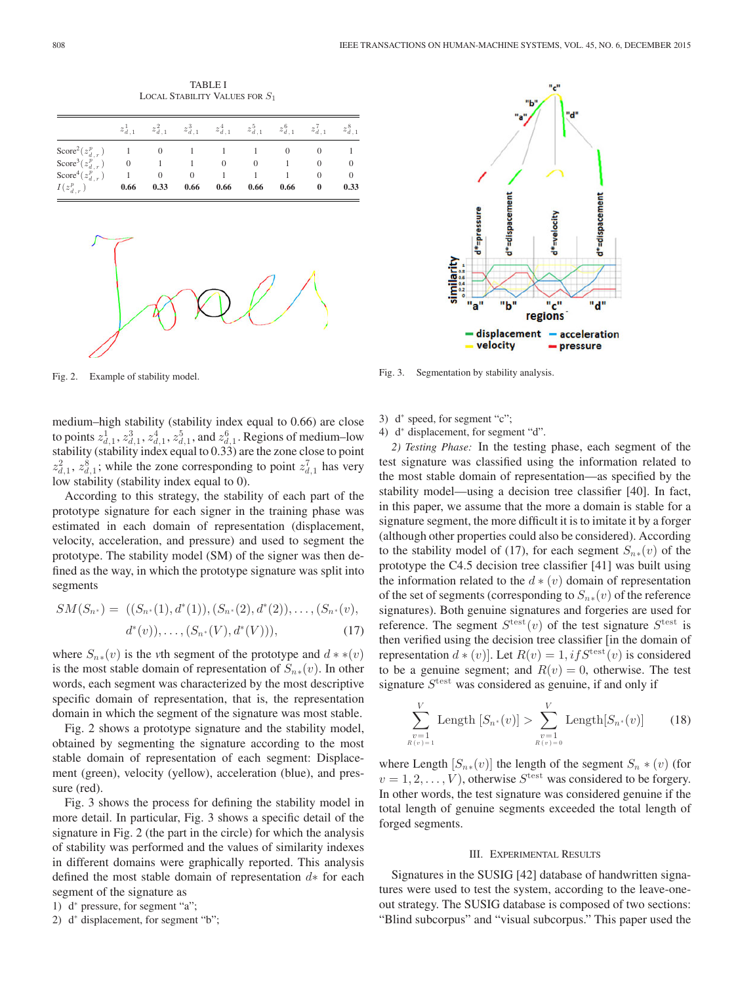TABLE I LOCAL STABILITY VALUES FOR  $\mathcal{S}_1$ 

|                                      | $z_{d.1}^{\perp}$ |          |          |      | $z_{d,1}^2 \quad z_{d,1}^3 \quad z_{d,1}^4 \quad z_{d,1}^5 \quad z_{d,1}^6 \quad z_{d,1}^7 \quad z_{d,1}^8$ |      |          |          |
|--------------------------------------|-------------------|----------|----------|------|-------------------------------------------------------------------------------------------------------------|------|----------|----------|
| Score <sup>2</sup> $(z_{d,r}^p)$ 1 0 |                   |          |          |      | $1 \quad 1 \quad 1$                                                                                         |      |          |          |
| Score <sup>3</sup> $(z_{d,r}^{p'})$  | $\theta$          | $\sim$ 1 | 1 0      |      | $\theta$                                                                                                    | 1    |          |          |
| Score <sup>4</sup> $(z_{d,r}^{p})$   |                   | $\theta$ | $\theta$ |      | $1 \quad 1$                                                                                                 |      | $\Omega$ | $\theta$ |
| $I(z_{d,r}^p)$                       | 0.66              | 0.33     | 0.66     | 0.66 | 0.66                                                                                                        | 0.66 | $\bf{0}$ | 0.33     |



Fig. 2. Example of stability model.

medium–high stability (stability index equal to 0.66) are close to points  $z_{d,1}^1$ ,  $z_{d,1}^3$ ,  $z_{d,1}^4$ ,  $z_{d,1}^5$ , and  $z_{d,1}^6$ . Regions of medium–low stability (stability index equal to 0.33) are the zone close to point  $z_{d,1}^2$ ,  $z_{d,1}^8$ ; while the zone corresponding to point  $z_{d,1}^7$  has very low stability (stability index equal to 0).

According to this strategy, the stability of each part of the prototype signature for each signer in the training phase was estimated in each domain of representation (displacement, velocity, acceleration, and pressure) and used to segment the prototype. The stability model (SM) of the signer was then defined as the way, in which the prototype signature was split into segments

$$
SM(S_{n^*}) = ((S_{n^*}(1), d^*(1)), (S_{n^*}(2), d^*(2)), \dots, (S_{n^*}(v), d^*(v)), \dots, (S_{n^*}(V), d^*(V))),
$$
\n(17)

where  $S_{n*}(v)$  is the *v*th segment of the prototype and  $d * *(v)$ is the most stable domain of representation of  $S_{n*}(v)$ . In other words, each segment was characterized by the most descriptive specific domain of representation, that is, the representation domain in which the segment of the signature was most stable.

Fig. 2 shows a prototype signature and the stability model, obtained by segmenting the signature according to the most stable domain of representation of each segment: Displacement (green), velocity (yellow), acceleration (blue), and pressure (red).

Fig. 3 shows the process for defining the stability model in more detail. In particular, Fig. 3 shows a specific detail of the signature in Fig. 2 (the part in the circle) for which the analysis of stability was performed and the values of similarity indexes in different domains were graphically reported. This analysis defined the most stable domain of representation d∗ for each segment of the signature as

1) d<sup>∗</sup> pressure, for segment "a";

2) d<sup>∗</sup> displacement, for segment "b";



4) d<sup>∗</sup> displacement, for segment "d".

Fig. 3. Segmentation by stability analysis.

*2) Testing Phase:* In the testing phase, each segment of the test signature was classified using the information related to the most stable domain of representation—as specified by the stability model—using a decision tree classifier [40]. In fact, in this paper, we assume that the more a domain is stable for a signature segment, the more difficult it is to imitate it by a forger (although other properties could also be considered). According to the stability model of (17), for each segment  $S_{n*}(v)$  of the prototype the C4.5 decision tree classifier [41] was built using the information related to the  $d * (v)$  domain of representation of the set of segments (corresponding to  $S_{n*}(v)$  of the reference signatures). Both genuine signatures and forgeries are used for reference. The segment  $S<sup>test</sup>(v)$  of the test signature  $S<sup>test</sup>$  is then verified using the decision tree classifier [in the domain of representation  $d * (v)$ . Let  $R(v) = 1$ , if  $S<sup>test</sup>(v)$  is considered to be a genuine segment; and  $R(v)=0$ , otherwise. The test signature  $S<sup>test</sup>$  was considered as genuine, if and only if

$$
\sum_{\substack{v=1\\R(v)=1}}^V \text{Length } [S_{n^*}(v)] > \sum_{\substack{v=1\\R(v)=0}}^V \text{Length}[S_{n^*}(v)] \tag{18}
$$

where Length  $[S_{n*}(v)]$  the length of the segment  $S_n * (v)$  (for  $v = 1, 2, \ldots, V$ , otherwise  $S<sup>test</sup>$  was considered to be forgery. In other words, the test signature was considered genuine if the total length of genuine segments exceeded the total length of forged segments.

## III. EXPERIMENTAL RESULTS

Signatures in the SUSIG [42] database of handwritten signatures were used to test the system, according to the leave-oneout strategy. The SUSIG database is composed of two sections: "Blind subcorpus" and "visual subcorpus." This paper used the

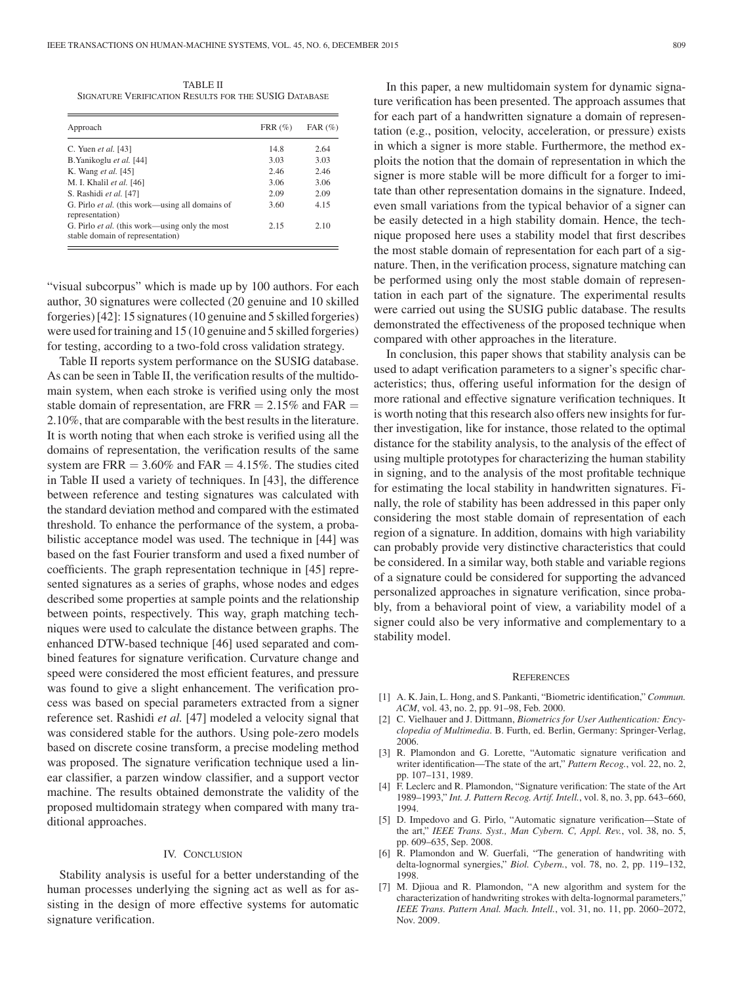TABLE II SIGNATURE VERIFICATION RESULTS FOR THE SUSIG DATABASE

| Approach                                                                           | FRR(%) | FAR $(\%)$ |
|------------------------------------------------------------------------------------|--------|------------|
| C. Yuen et al. [43]                                                                | 14.8   | 2.64       |
| B. Yanikoglu et al. [44]                                                           | 3.03   | 3.03       |
| K. Wang et al. [45]                                                                | 2.46   | 2.46       |
| M. I. Khalil et al. [46]                                                           | 3.06   | 3.06       |
| S. Rashidi et al. [47]                                                             | 2.09   | 2.09       |
| G. Pirlo et al. (this work—using all domains of<br>representation)                 | 3.60   | 4.15       |
| G. Pirlo et al. (this work—using only the most<br>stable domain of representation) | 2.15   | 2.10       |

"visual subcorpus" which is made up by 100 authors. For each author, 30 signatures were collected (20 genuine and 10 skilled forgeries) [42]: 15 signatures (10 genuine and 5 skilled forgeries) were used for training and 15 (10 genuine and 5 skilled forgeries) for testing, according to a two-fold cross validation strategy.

Table II reports system performance on the SUSIG database. As can be seen in Table II, the verification results of the multidomain system, when each stroke is verified using only the most stable domain of representation, are  $FRR = 2.15\%$  and  $FAR =$ 2.10%, that are comparable with the best results in the literature. It is worth noting that when each stroke is verified using all the domains of representation, the verification results of the same system are  $FRR = 3.60\%$  and  $FAR = 4.15\%$ . The studies cited in Table II used a variety of techniques. In [43], the difference between reference and testing signatures was calculated with the standard deviation method and compared with the estimated threshold. To enhance the performance of the system, a probabilistic acceptance model was used. The technique in [44] was based on the fast Fourier transform and used a fixed number of coefficients. The graph representation technique in [45] represented signatures as a series of graphs, whose nodes and edges described some properties at sample points and the relationship between points, respectively. This way, graph matching techniques were used to calculate the distance between graphs. The enhanced DTW-based technique [46] used separated and combined features for signature verification. Curvature change and speed were considered the most efficient features, and pressure was found to give a slight enhancement. The verification process was based on special parameters extracted from a signer reference set. Rashidi *et al.* [47] modeled a velocity signal that was considered stable for the authors. Using pole-zero models based on discrete cosine transform, a precise modeling method was proposed. The signature verification technique used a linear classifier, a parzen window classifier, and a support vector machine. The results obtained demonstrate the validity of the proposed multidomain strategy when compared with many traditional approaches.

## IV. CONCLUSION

Stability analysis is useful for a better understanding of the human processes underlying the signing act as well as for assisting in the design of more effective systems for automatic signature verification.

In this paper, a new multidomain system for dynamic signature verification has been presented. The approach assumes that for each part of a handwritten signature a domain of representation (e.g., position, velocity, acceleration, or pressure) exists in which a signer is more stable. Furthermore, the method exploits the notion that the domain of representation in which the signer is more stable will be more difficult for a forger to imitate than other representation domains in the signature. Indeed, even small variations from the typical behavior of a signer can be easily detected in a high stability domain. Hence, the technique proposed here uses a stability model that first describes the most stable domain of representation for each part of a signature. Then, in the verification process, signature matching can be performed using only the most stable domain of representation in each part of the signature. The experimental results were carried out using the SUSIG public database. The results demonstrated the effectiveness of the proposed technique when compared with other approaches in the literature.

In conclusion, this paper shows that stability analysis can be used to adapt verification parameters to a signer's specific characteristics; thus, offering useful information for the design of more rational and effective signature verification techniques. It is worth noting that this research also offers new insights for further investigation, like for instance, those related to the optimal distance for the stability analysis, to the analysis of the effect of using multiple prototypes for characterizing the human stability in signing, and to the analysis of the most profitable technique for estimating the local stability in handwritten signatures. Finally, the role of stability has been addressed in this paper only considering the most stable domain of representation of each region of a signature. In addition, domains with high variability can probably provide very distinctive characteristics that could be considered. In a similar way, both stable and variable regions of a signature could be considered for supporting the advanced personalized approaches in signature verification, since probably, from a behavioral point of view, a variability model of a signer could also be very informative and complementary to a stability model.

#### **REFERENCES**

- [1] A. K. Jain, L. Hong, and S. Pankanti, "Biometric identification," *Commun. ACM*, vol. 43, no. 2, pp. 91–98, Feb. 2000.
- [2] C. Vielhauer and J. Dittmann, *Biometrics for User Authentication: Encyclopedia of Multimedia*. B. Furth, ed. Berlin, Germany: Springer-Verlag, 2006.
- [3] R. Plamondon and G. Lorette, "Automatic signature verification and writer identification—The state of the art," *Pattern Recog.*, vol. 22, no. 2, pp. 107–131, 1989.
- [4] F. Leclerc and R. Plamondon, "Signature verification: The state of the Art 1989–1993," *Int. J. Pattern Recog. Artif. Intell.*, vol. 8, no. 3, pp. 643–660, 1994.
- [5] D. Impedovo and G. Pirlo, "Automatic signature verification—State of the art," *IEEE Trans. Syst., Man Cybern. C, Appl. Rev.*, vol. 38, no. 5, pp. 609–635, Sep. 2008.
- [6] R. Plamondon and W. Guerfali, "The generation of handwriting with delta-lognormal synergies," *Biol. Cybern.*, vol. 78, no. 2, pp. 119–132, 1998.
- [7] M. Djioua and R. Plamondon, "A new algorithm and system for the characterization of handwriting strokes with delta-lognormal parameters," *IEEE Trans. Pattern Anal. Mach. Intell.*, vol. 31, no. 11, pp. 2060–2072, Nov. 2009.